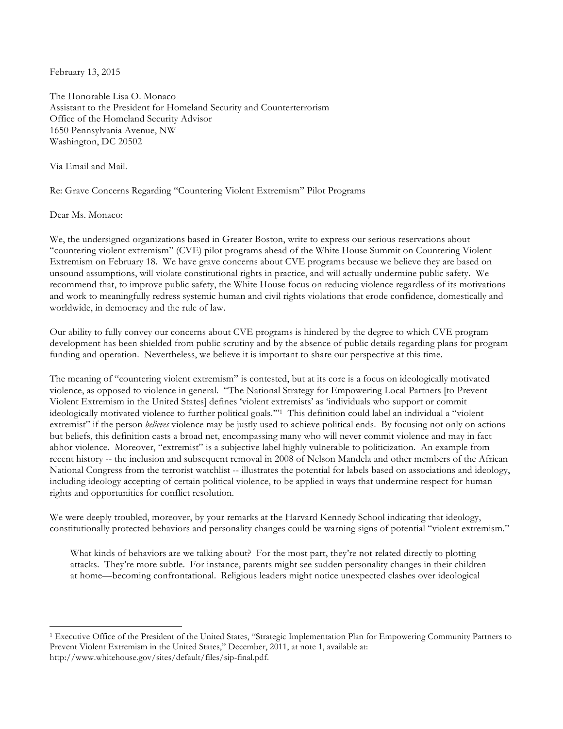February 13, 2015

The Honorable Lisa O. Monaco Assistant to the President for Homeland Security and Counterterrorism Office of the Homeland Security Advisor 1650 Pennsylvania Avenue, NW Washington, DC 20502

Via Email and Mail.

Re: Grave Concerns Regarding "Countering Violent Extremism" Pilot Programs

Dear Ms. Monaco:

 

We, the undersigned organizations based in Greater Boston, write to express our serious reservations about "countering violent extremism" (CVE) pilot programs ahead of the White House Summit on Countering Violent Extremism on February 18. We have grave concerns about CVE programs because we believe they are based on unsound assumptions, will violate constitutional rights in practice, and will actually undermine public safety. We recommend that, to improve public safety, the White House focus on reducing violence regardless of its motivations and work to meaningfully redress systemic human and civil rights violations that erode confidence, domestically and worldwide, in democracy and the rule of law.

Our ability to fully convey our concerns about CVE programs is hindered by the degree to which CVE program development has been shielded from public scrutiny and by the absence of public details regarding plans for program funding and operation. Nevertheless, we believe it is important to share our perspective at this time.

The meaning of "countering violent extremism" is contested, but at its core is a focus on ideologically motivated violence, as opposed to violence in general. "The National Strategy for Empowering Local Partners [to Prevent Violent Extremism in the United States] defines 'violent extremists' as 'individuals who support or commit ideologically motivated violence to further political goals.'"1 This definition could label an individual a "violent extremist" if the person *believes* violence may be justly used to achieve political ends. By focusing not only on actions but beliefs, this definition casts a broad net, encompassing many who will never commit violence and may in fact abhor violence. Moreover, "extremist" is a subjective label highly vulnerable to politicization. An example from recent history -- the inclusion and subsequent removal in 2008 of Nelson Mandela and other members of the African National Congress from the terrorist watchlist -- illustrates the potential for labels based on associations and ideology, including ideology accepting of certain political violence, to be applied in ways that undermine respect for human rights and opportunities for conflict resolution.

We were deeply troubled, moreover, by your remarks at the Harvard Kennedy School indicating that ideology, constitutionally protected behaviors and personality changes could be warning signs of potential "violent extremism."

What kinds of behaviors are we talking about? For the most part, they're not related directly to plotting attacks. They're more subtle. For instance, parents might see sudden personality changes in their children at home—becoming confrontational. Religious leaders might notice unexpected clashes over ideological

<sup>1</sup> Executive Office of the President of the United States, "Strategic Implementation Plan for Empowering Community Partners to Prevent Violent Extremism in the United States," December, 2011, at note 1, available at: http://www.whitehouse.gov/sites/default/files/sip-final.pdf.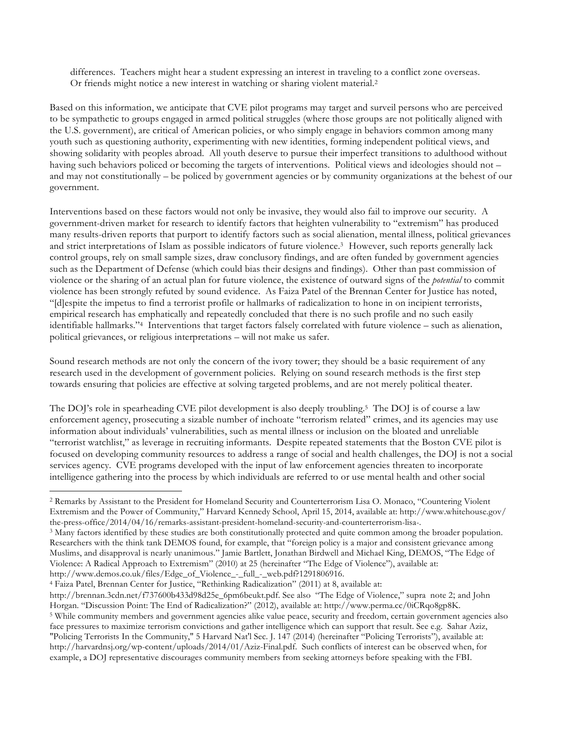differences. Teachers might hear a student expressing an interest in traveling to a conflict zone overseas. Or friends might notice a new interest in watching or sharing violent material.2

Based on this information, we anticipate that CVE pilot programs may target and surveil persons who are perceived to be sympathetic to groups engaged in armed political struggles (where those groups are not politically aligned with the U.S. government), are critical of American policies, or who simply engage in behaviors common among many youth such as questioning authority, experimenting with new identities, forming independent political views, and showing solidarity with peoples abroad. All youth deserve to pursue their imperfect transitions to adulthood without having such behaviors policed or becoming the targets of interventions. Political views and ideologies should not – and may not constitutionally – be policed by government agencies or by community organizations at the behest of our government.

Interventions based on these factors would not only be invasive, they would also fail to improve our security. A government-driven market for research to identify factors that heighten vulnerability to "extremism" has produced many results-driven reports that purport to identify factors such as social alienation, mental illness, political grievances and strict interpretations of Islam as possible indicators of future violence.3 However, such reports generally lack control groups, rely on small sample sizes, draw conclusory findings, and are often funded by government agencies such as the Department of Defense (which could bias their designs and findings). Other than past commission of violence or the sharing of an actual plan for future violence, the existence of outward signs of the *potential* to commit violence has been strongly refuted by sound evidence. As Faiza Patel of the Brennan Center for Justice has noted, "[d]espite the impetus to find a terrorist profile or hallmarks of radicalization to hone in on incipient terrorists, empirical research has emphatically and repeatedly concluded that there is no such profile and no such easily identifiable hallmarks."4 Interventions that target factors falsely correlated with future violence – such as alienation, political grievances, or religious interpretations – will not make us safer.

Sound research methods are not only the concern of the ivory tower; they should be a basic requirement of any research used in the development of government policies. Relying on sound research methods is the first step towards ensuring that policies are effective at solving targeted problems, and are not merely political theater.

The DOJ's role in spearheading CVE pilot development is also deeply troubling.5 The DOJ is of course a law enforcement agency, prosecuting a sizable number of inchoate "terrorism related" crimes, and its agencies may use information about individuals' vulnerabilities, such as mental illness or inclusion on the bloated and unreliable "terrorist watchlist," as leverage in recruiting informants. Despite repeated statements that the Boston CVE pilot is focused on developing community resources to address a range of social and health challenges, the DOJ is not a social services agency. CVE programs developed with the input of law enforcement agencies threaten to incorporate intelligence gathering into the process by which individuals are referred to or use mental health and other social

<sup>4</sup> Faiza Patel, Brennan Center for Justice, "Rethinking Radicalization" (2011) at 8, available at:

 

<sup>2</sup> Remarks by Assistant to the President for Homeland Security and Counterterrorism Lisa O. Monaco, "Countering Violent Extremism and the Power of Community," Harvard Kennedy School, April 15, 2014, available at: http://www.whitehouse.gov/ the-press-office/2014/04/16/remarks-assistant-president-homeland-security-and-counterterrorism-lisa-.

<sup>&</sup>lt;sup>3</sup> Many factors identified by these studies are both constitutionally protected and quite common among the broader population. Researchers with the think tank DEMOS found, for example, that "foreign policy is a major and consistent grievance among Muslims, and disapproval is nearly unanimous." Jamie Bartlett, Jonathan Birdwell and Michael King, DEMOS, "The Edge of Violence: A Radical Approach to Extremism" (2010) at 25 (hereinafter "The Edge of Violence"), available at: http://www.demos.co.uk/files/Edge\_of\_Violence\_-\_full\_-\_web.pdf?1291806916.

http://brennan.3cdn.net/f737600b433d98d25e\_6pm6beukt.pdf. See also "The Edge of Violence," supra note 2; and John Horgan. "Discussion Point: The End of Radicalization?" (2012), available at: http://www.perma.cc/0iCRqo8gp8K. <sup>5</sup> While community members and government agencies alike value peace, security and freedom, certain government agencies also face pressures to maximize terrorism convictions and gather intelligence which can support that result. See e.g. Sahar Aziz, "Policing Terrorists In the Community," 5 Harvard Nat'l Sec. J. 147 (2014) (hereinafter "Policing Terrorists"), available at: http://harvardnsj.org/wp-content/uploads/2014/01/Aziz-Final.pdf. Such conflicts of interest can be observed when, for example, a DOJ representative discourages community members from seeking attorneys before speaking with the FBI.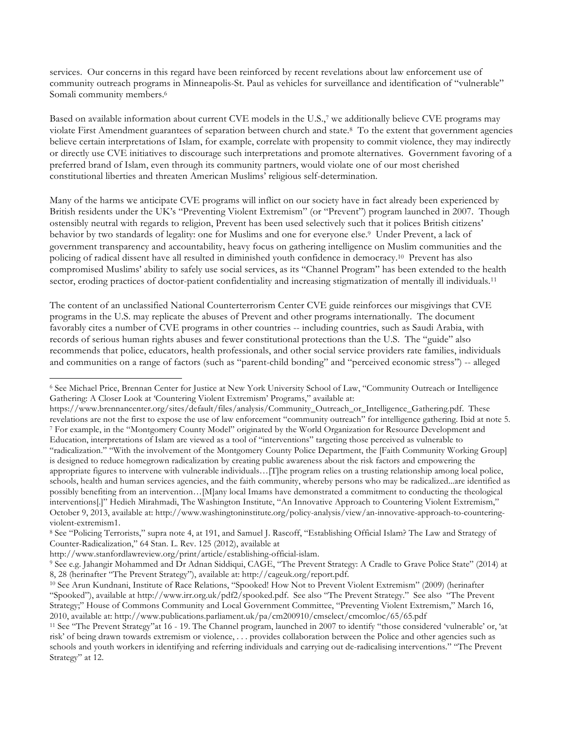services. Our concerns in this regard have been reinforced by recent revelations about law enforcement use of community outreach programs in Minneapolis-St. Paul as vehicles for surveillance and identification of "vulnerable" Somali community members.<sup>6</sup>

Based on available information about current CVE models in the U.S.,7 we additionally believe CVE programs may violate First Amendment guarantees of separation between church and state.8 To the extent that government agencies believe certain interpretations of Islam, for example, correlate with propensity to commit violence, they may indirectly or directly use CVE initiatives to discourage such interpretations and promote alternatives. Government favoring of a preferred brand of Islam, even through its community partners, would violate one of our most cherished constitutional liberties and threaten American Muslims' religious self-determination.

Many of the harms we anticipate CVE programs will inflict on our society have in fact already been experienced by British residents under the UK's "Preventing Violent Extremism" (or "Prevent") program launched in 2007. Though ostensibly neutral with regards to religion, Prevent has been used selectively such that it polices British citizens' behavior by two standards of legality: one for Muslims and one for everyone else.9 Under Prevent, a lack of government transparency and accountability, heavy focus on gathering intelligence on Muslim communities and the policing of radical dissent have all resulted in diminished youth confidence in democracy.10 Prevent has also compromised Muslims' ability to safely use social services, as its "Channel Program" has been extended to the health sector, eroding practices of doctor-patient confidentiality and increasing stigmatization of mentally ill individuals.<sup>11</sup>

The content of an unclassified National Counterterrorism Center CVE guide reinforces our misgivings that CVE programs in the U.S. may replicate the abuses of Prevent and other programs internationally. The document favorably cites a number of CVE programs in other countries -- including countries, such as Saudi Arabia, with records of serious human rights abuses and fewer constitutional protections than the U.S. The "guide" also recommends that police, educators, health professionals, and other social service providers rate families, individuals and communities on a range of factors (such as "parent-child bonding" and "perceived economic stress") -- alleged

 <sup>6</sup> See Michael Price, Brennan Center for Justice at New York University School of Law, "Community Outreach or Intelligence Gathering: A Closer Look at 'Countering Violent Extremism' Programs," available at:

https://www.brennancenter.org/sites/default/files/analysis/Community\_Outreach\_or\_Intelligence\_Gathering.pdf. These revelations are not the first to expose the use of law enforcement "community outreach" for intelligence gathering. Ibid at note 5. <sup>7</sup> For example, in the "Montgomery County Model" originated by the World Organization for Resource Development and Education, interpretations of Islam are viewed as a tool of "interventions" targeting those perceived as vulnerable to "radicalization." "With the involvement of the Montgomery County Police Department, the [Faith Community Working Group] is designed to reduce homegrown radicalization by creating public awareness about the risk factors and empowering the appropriate figures to intervene with vulnerable individuals…[T]he program relies on a trusting relationship among local police, schools, health and human services agencies, and the faith community, whereby persons who may be radicalized...are identified as possibly benefiting from an intervention…[M]any local Imams have demonstrated a commitment to conducting the theological interventions[.]" Hedieh Mirahmadi, The Washington Institute, "An Innovative Approach to Countering Violent Extremism," October 9, 2013, available at: http://www.washingtoninstitute.org/policy-analysis/view/an-innovative-approach-to-countering-

violent-extremism1. <sup>8</sup> See "Policing Terrorists," supra note 4, at 191, and Samuel J. Rascoff, "Establishing Official Islam? The Law and Strategy of Counter-Radicalization," 64 Stan. L. Rev. 125 (2012), available at

http://www.stanfordlawreview.org/print/article/establishing-official-islam.

<sup>9</sup> See e.g. Jahangir Mohammed and Dr Adnan Siddiqui, CAGE, "The Prevent Strategy: A Cradle to Grave Police State" (2014) at 8, 28 (herinafter "The Prevent Strategy"), available at: http://cageuk.org/report.pdf.

<sup>10</sup> See Arun Kundnani, Institute of Race Relations, "Spooked! How Not to Prevent Violent Extremism" (2009) (herinafter "Spooked"), available at http://www.irr.org.uk/pdf2/spooked.pdf. See also "The Prevent Strategy." See also "The Prevent Strategy;" House of Commons Community and Local Government Committee, "Preventing Violent Extremism," March 16, 2010, available at: http://www.publications.parliament.uk/pa/cm200910/cmselect/cmcomloc/65/65.pdf

<sup>11</sup> See "The Prevent Strategy"at 16 - 19. The Channel program, launched in 2007 to identify "those considered 'vulnerable' or, 'at risk' of being drawn towards extremism or violence, . . . provides collaboration between the Police and other agencies such as schools and youth workers in identifying and referring individuals and carrying out de-radicalising interventions." "The Prevent Strategy" at 12.